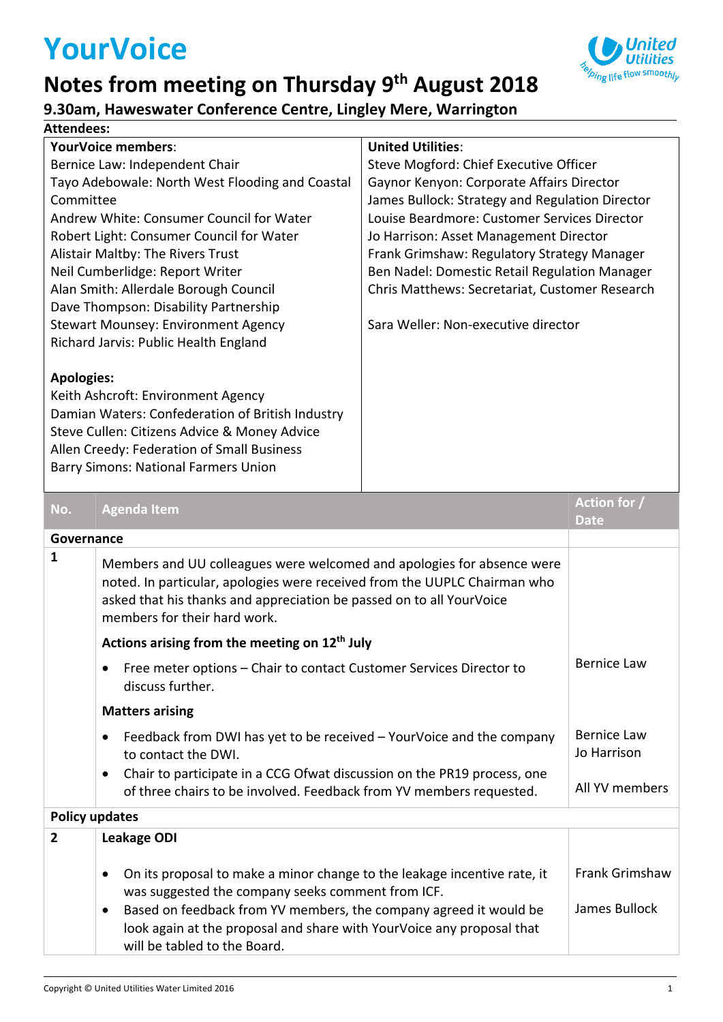# **YourVoice**



### **9.30am, Haweswater Conference Centre, Lingley Mere, Warrington**

#### **Attendees:**

| \ttendees:                                      |                                                                                                                                                                                                                                                             |                                                 |                             |
|-------------------------------------------------|-------------------------------------------------------------------------------------------------------------------------------------------------------------------------------------------------------------------------------------------------------------|-------------------------------------------------|-----------------------------|
|                                                 | <b>YourVoice members:</b>                                                                                                                                                                                                                                   | <b>United Utilities:</b>                        |                             |
| Bernice Law: Independent Chair                  |                                                                                                                                                                                                                                                             | Steve Mogford: Chief Executive Officer          |                             |
| Tayo Adebowale: North West Flooding and Coastal |                                                                                                                                                                                                                                                             | Gaynor Kenyon: Corporate Affairs Director       |                             |
| Committee                                       |                                                                                                                                                                                                                                                             | James Bullock: Strategy and Regulation Director |                             |
| Andrew White: Consumer Council for Water        |                                                                                                                                                                                                                                                             | Louise Beardmore: Customer Services Director    |                             |
| Robert Light: Consumer Council for Water        |                                                                                                                                                                                                                                                             | Jo Harrison: Asset Management Director          |                             |
| Alistair Maltby: The Rivers Trust               |                                                                                                                                                                                                                                                             | Frank Grimshaw: Regulatory Strategy Manager     |                             |
|                                                 | Neil Cumberlidge: Report Writer                                                                                                                                                                                                                             | Ben Nadel: Domestic Retail Regulation Manager   |                             |
| Alan Smith: Allerdale Borough Council           |                                                                                                                                                                                                                                                             | Chris Matthews: Secretariat, Customer Research  |                             |
|                                                 | Dave Thompson: Disability Partnership                                                                                                                                                                                                                       |                                                 |                             |
|                                                 | Stewart Mounsey: Environment Agency                                                                                                                                                                                                                         | Sara Weller: Non-executive director             |                             |
| Richard Jarvis: Public Health England           |                                                                                                                                                                                                                                                             |                                                 |                             |
| <b>Apologies:</b>                               | Keith Ashcroft: Environment Agency<br>Damian Waters: Confederation of British Industry<br>Steve Cullen: Citizens Advice & Money Advice<br>Allen Creedy: Federation of Small Business<br><b>Barry Simons: National Farmers Union</b>                         |                                                 |                             |
| No.                                             | <b>Agenda Item</b>                                                                                                                                                                                                                                          |                                                 | Action for /<br><b>Date</b> |
| Governance                                      |                                                                                                                                                                                                                                                             |                                                 |                             |
| 1                                               | Members and UU colleagues were welcomed and apologies for absence were<br>noted. In particular, apologies were received from the UUPLC Chairman who<br>asked that his thanks and appreciation be passed on to all YourVoice<br>members for their hard work. |                                                 |                             |
|                                                 | Actions arising from the meeting on 12 <sup>th</sup> July                                                                                                                                                                                                   |                                                 |                             |
|                                                 | Free meter options - Chair to contact Customer Services Director to<br>$\bullet$<br>discuss further.                                                                                                                                                        | <b>Bernice Law</b>                              |                             |
|                                                 | <b>Matters arising</b>                                                                                                                                                                                                                                      |                                                 |                             |
|                                                 | Feedback from DWI has yet to be received – YourVoice and the company                                                                                                                                                                                        |                                                 | <b>Bernice Law</b>          |

 Feedback from DWI has yet to be received – YourVoice and the company to contact the DWI. Chair to participate in a CCG Ofwat discussion on the PR19 process, one Jo Harrison All YV members

#### **Policy updates**

| <b>I VIILY UNUULLY</b> |                                                                                                                                                                                                                                                                                                                          |                                 |  |  |
|------------------------|--------------------------------------------------------------------------------------------------------------------------------------------------------------------------------------------------------------------------------------------------------------------------------------------------------------------------|---------------------------------|--|--|
| $\overline{2}$         | <b>Leakage ODI</b>                                                                                                                                                                                                                                                                                                       |                                 |  |  |
|                        | On its proposal to make a minor change to the leakage incentive rate, it<br>was suggested the company seeks comment from ICF.<br>Based on feedback from YV members, the company agreed it would be<br>$\bullet$<br>look again at the proposal and share with YourVoice any proposal that<br>will be tabled to the Board. | Frank Grimshaw<br>James Bullock |  |  |

of three chairs to be involved. Feedback from YV members requested.